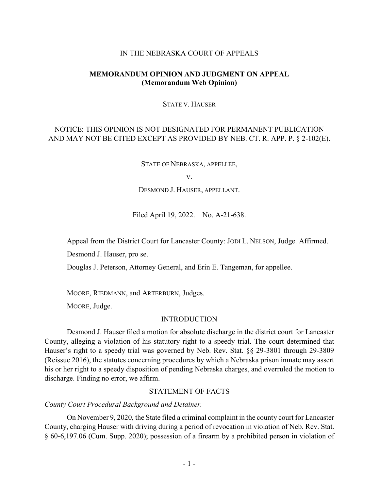## IN THE NEBRASKA COURT OF APPEALS

# **MEMORANDUM OPINION AND JUDGMENT ON APPEAL (Memorandum Web Opinion)**

#### STATE V. HAUSER

# NOTICE: THIS OPINION IS NOT DESIGNATED FOR PERMANENT PUBLICATION AND MAY NOT BE CITED EXCEPT AS PROVIDED BY NEB. CT. R. APP. P. § 2-102(E).

STATE OF NEBRASKA, APPELLEE,

V.

DESMOND J. HAUSER, APPELLANT.

Filed April 19, 2022. No. A-21-638.

Appeal from the District Court for Lancaster County: JODI L. NELSON, Judge. Affirmed.

Desmond J. Hauser, pro se.

Douglas J. Peterson, Attorney General, and Erin E. Tangeman, for appellee.

MOORE, RIEDMANN, and ARTERBURN, Judges.

MOORE, Judge.

#### INTRODUCTION

Desmond J. Hauser filed a motion for absolute discharge in the district court for Lancaster County, alleging a violation of his statutory right to a speedy trial. The court determined that Hauser's right to a speedy trial was governed by Neb. Rev. Stat. §§ 29-3801 through 29-3809 (Reissue 2016), the statutes concerning procedures by which a Nebraska prison inmate may assert his or her right to a speedy disposition of pending Nebraska charges, and overruled the motion to discharge. Finding no error, we affirm.

# STATEMENT OF FACTS

*County Court Procedural Background and Detainer.*

On November 9, 2020, the State filed a criminal complaint in the county court for Lancaster County, charging Hauser with driving during a period of revocation in violation of Neb. Rev. Stat. § 60-6,197.06 (Cum. Supp. 2020); possession of a firearm by a prohibited person in violation of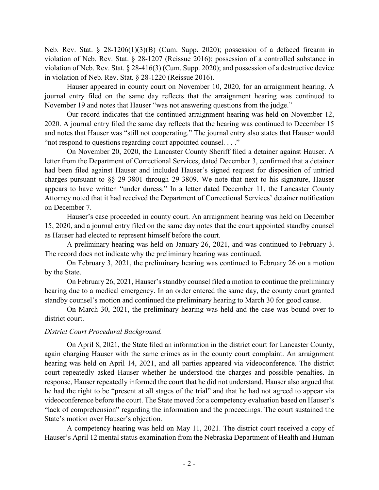Neb. Rev. Stat. § 28-1206(1)(3)(B) (Cum. Supp. 2020); possession of a defaced firearm in violation of Neb. Rev. Stat. § 28-1207 (Reissue 2016); possession of a controlled substance in violation of Neb. Rev. Stat. § 28-416(3) (Cum. Supp. 2020); and possession of a destructive device in violation of Neb. Rev. Stat. § 28-1220 (Reissue 2016).

Hauser appeared in county court on November 10, 2020, for an arraignment hearing. A journal entry filed on the same day reflects that the arraignment hearing was continued to November 19 and notes that Hauser "was not answering questions from the judge."

Our record indicates that the continued arraignment hearing was held on November 12, 2020. A journal entry filed the same day reflects that the hearing was continued to December 15 and notes that Hauser was "still not cooperating." The journal entry also states that Hauser would "not respond to questions regarding court appointed counsel. . . ."

On November 20, 2020, the Lancaster County Sheriff filed a detainer against Hauser. A letter from the Department of Correctional Services, dated December 3, confirmed that a detainer had been filed against Hauser and included Hauser's signed request for disposition of untried charges pursuant to §§ 29-3801 through 29-3809. We note that next to his signature, Hauser appears to have written "under duress." In a letter dated December 11, the Lancaster County Attorney noted that it had received the Department of Correctional Services' detainer notification on December 7.

Hauser's case proceeded in county court. An arraignment hearing was held on December 15, 2020, and a journal entry filed on the same day notes that the court appointed standby counsel as Hauser had elected to represent himself before the court.

A preliminary hearing was held on January 26, 2021, and was continued to February 3. The record does not indicate why the preliminary hearing was continued.

On February 3, 2021, the preliminary hearing was continued to February 26 on a motion by the State.

On February 26, 2021, Hauser's standby counsel filed a motion to continue the preliminary hearing due to a medical emergency. In an order entered the same day, the county court granted standby counsel's motion and continued the preliminary hearing to March 30 for good cause.

On March 30, 2021, the preliminary hearing was held and the case was bound over to district court.

# *District Court Procedural Background.*

On April 8, 2021, the State filed an information in the district court for Lancaster County, again charging Hauser with the same crimes as in the county court complaint. An arraignment hearing was held on April 14, 2021, and all parties appeared via videoconference. The district court repeatedly asked Hauser whether he understood the charges and possible penalties. In response, Hauser repeatedly informed the court that he did not understand. Hauser also argued that he had the right to be "present at all stages of the trial" and that he had not agreed to appear via videoconference before the court. The State moved for a competency evaluation based on Hauser's "lack of comprehension" regarding the information and the proceedings. The court sustained the State's motion over Hauser's objection.

A competency hearing was held on May 11, 2021. The district court received a copy of Hauser's April 12 mental status examination from the Nebraska Department of Health and Human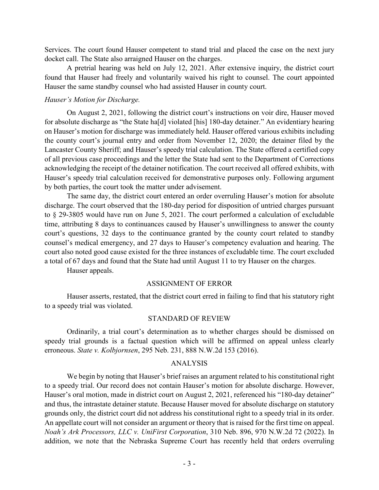Services. The court found Hauser competent to stand trial and placed the case on the next jury docket call. The State also arraigned Hauser on the charges.

A pretrial hearing was held on July 12, 2021. After extensive inquiry, the district court found that Hauser had freely and voluntarily waived his right to counsel. The court appointed Hauser the same standby counsel who had assisted Hauser in county court.

## *Hauser's Motion for Discharge.*

On August 2, 2021, following the district court's instructions on voir dire, Hauser moved for absolute discharge as "the State ha[d] violated [his] 180-day detainer." An evidentiary hearing on Hauser's motion for discharge was immediately held. Hauser offered various exhibits including the county court's journal entry and order from November 12, 2020; the detainer filed by the Lancaster County Sheriff; and Hauser's speedy trial calculation. The State offered a certified copy of all previous case proceedings and the letter the State had sent to the Department of Corrections acknowledging the receipt of the detainer notification. The court received all offered exhibits, with Hauser's speedy trial calculation received for demonstrative purposes only. Following argument by both parties, the court took the matter under advisement.

The same day, the district court entered an order overruling Hauser's motion for absolute discharge. The court observed that the 180-day period for disposition of untried charges pursuant to § 29-3805 would have run on June 5, 2021. The court performed a calculation of excludable time, attributing 8 days to continuances caused by Hauser's unwillingness to answer the county court's questions, 32 days to the continuance granted by the county court related to standby counsel's medical emergency, and 27 days to Hauser's competency evaluation and hearing. The court also noted good cause existed for the three instances of excludable time. The court excluded a total of 67 days and found that the State had until August 11 to try Hauser on the charges.

Hauser appeals.

#### ASSIGNMENT OF ERROR

Hauser asserts, restated, that the district court erred in failing to find that his statutory right to a speedy trial was violated.

#### STANDARD OF REVIEW

Ordinarily, a trial court's determination as to whether charges should be dismissed on speedy trial grounds is a factual question which will be affirmed on appeal unless clearly erroneous. *State v. Kolbjornsen*, 295 Neb. 231, 888 N.W.2d 153 (2016).

### ANALYSIS

We begin by noting that Hauser's brief raises an argument related to his constitutional right to a speedy trial. Our record does not contain Hauser's motion for absolute discharge. However, Hauser's oral motion, made in district court on August 2, 2021, referenced his "180-day detainer" and thus, the intrastate detainer statute. Because Hauser moved for absolute discharge on statutory grounds only, the district court did not address his constitutional right to a speedy trial in its order. An appellate court will not consider an argument or theory that is raised for the first time on appeal. *Noah's Ark Processors, LLC v. UniFirst Corporation*, 310 Neb. 896, 970 N.W.2d 72 (2022). In addition, we note that the Nebraska Supreme Court has recently held that orders overruling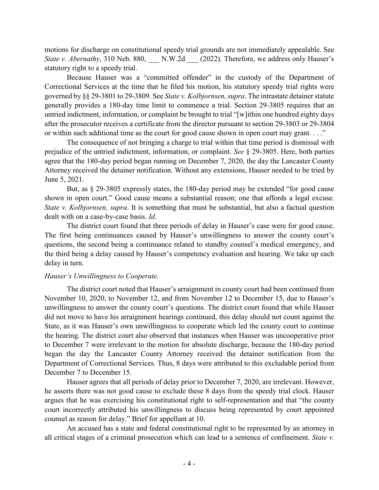motions for discharge on constitutional speedy trial grounds are not immediately appealable. See *State v. Abernathy*, 310 Neb. 880, N.W.2d (2022). Therefore, we address only Hauser's statutory right to a speedy trial.

Because Hauser was a "committed offender" in the custody of the Department of Correctional Services at the time that he filed his motion, his statutory speedy trial rights were governed by §§ 29-3801 to 29-3809. See *State v. Kolbjornsen,supra*. The intrastate detainer statute generally provides a 180-day time limit to commence a trial. Section 29-3805 requires that an untried indictment, information, or complaint be brought to trial "[w]ithin one hundred eighty days after the prosecutor receives a certificate from the director pursuant to section 29-3803 or 29-3804 or within such additional time as the court for good cause shown in open court may grant. . . ."

The consequence of not bringing a charge to trial within that time period is dismissal with prejudice of the untried indictment, information, or complaint. *See* § 29-3805. Here, both parties agree that the 180-day period began running on December 7, 2020, the day the Lancaster County Attorney received the detainer notification. Without any extensions, Hauser needed to be tried by June 5, 2021.

But, as § 29-3805 expressly states, the 180-day period may be extended "for good cause shown in open court." Good cause means a substantial reason; one that affords a legal excuse. *State v. Kolbjornsen, supra*. It is something that must be substantial, but also a factual question dealt with on a case-by-case basis. *Id*.

The district court found that three periods of delay in Hauser's case were for good cause. The first being continuances caused by Hauser's unwillingness to answer the county court's questions, the second being a continuance related to standby counsel's medical emergency, and the third being a delay caused by Hauser's competency evaluation and hearing. We take up each delay in turn.

## *Hauser's Unwillingness to Cooperate.*

The district court noted that Hauser's arraignment in county court had been continued from November 10, 2020, to November 12, and from November 12 to December 15, due to Hauser's unwillingness to answer the county court's questions. The district court found that while Hauser did not move to have his arraignment hearings continued, this delay should not count against the State, as it was Hauser's own unwillingness to cooperate which led the county court to continue the hearing. The district court also observed that instances when Hauser was uncooperative prior to December 7 were irrelevant to the motion for absolute discharge, because the 180-day period began the day the Lancaster County Attorney received the detainer notification from the Department of Correctional Services. Thus, 8 days were attributed to this excludable period from December 7 to December 15.

Hauser agrees that all periods of delay prior to December 7, 2020, are irrelevant. However, he asserts there was not good cause to exclude these 8 days from the speedy trial clock. Hauser argues that he was exercising his constitutional right to self-representation and that "the county court incorrectly attributed his unwillingness to discuss being represented by court appointed counsel as reason for delay." Brief for appellant at 10.

An accused has a state and federal constitutional right to be represented by an attorney in all critical stages of a criminal prosecution which can lead to a sentence of confinement. *State v.*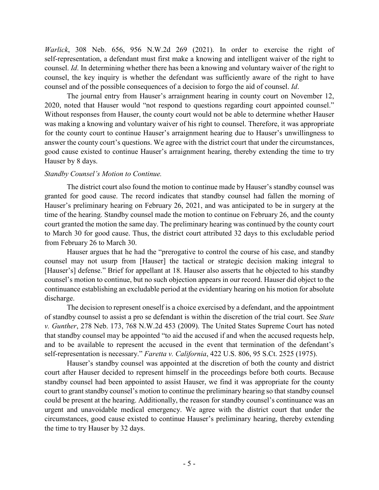*Warlick*, 308 Neb. 656, 956 N.W.2d 269 (2021). In order to exercise the right of self-representation, a defendant must first make a knowing and intelligent waiver of the right to counsel. *Id*. In determining whether there has been a knowing and voluntary waiver of the right to counsel, the key inquiry is whether the defendant was sufficiently aware of the right to have counsel and of the possible consequences of a decision to forgo the aid of counsel. *Id*.

The journal entry from Hauser's arraignment hearing in county court on November 12, 2020, noted that Hauser would "not respond to questions regarding court appointed counsel." Without responses from Hauser, the county court would not be able to determine whether Hauser was making a knowing and voluntary waiver of his right to counsel. Therefore, it was appropriate for the county court to continue Hauser's arraignment hearing due to Hauser's unwillingness to answer the county court's questions. We agree with the district court that under the circumstances, good cause existed to continue Hauser's arraignment hearing, thereby extending the time to try Hauser by 8 days.

# *Standby Counsel's Motion to Continue.*

The district court also found the motion to continue made by Hauser's standby counsel was granted for good cause. The record indicates that standby counsel had fallen the morning of Hauser's preliminary hearing on February 26, 2021, and was anticipated to be in surgery at the time of the hearing. Standby counsel made the motion to continue on February 26, and the county court granted the motion the same day. The preliminary hearing was continued by the county court to March 30 for good cause. Thus, the district court attributed 32 days to this excludable period from February 26 to March 30.

Hauser argues that he had the "prerogative to control the course of his case, and standby counsel may not usurp from [Hauser] the tactical or strategic decision making integral to [Hauser's] defense." Brief for appellant at 18. Hauser also asserts that he objected to his standby counsel's motion to continue, but no such objection appears in our record. Hauser did object to the continuance establishing an excludable period at the evidentiary hearing on his motion for absolute discharge.

The decision to represent oneself is a choice exercised by a defendant, and the appointment of standby counsel to assist a pro se defendant is within the discretion of the trial court. See *State v. Gunther*, 278 Neb. 173, 768 N.W.2d 453 (2009). The United States Supreme Court has noted that standby counsel may be appointed "to aid the accused if and when the accused requests help, and to be available to represent the accused in the event that termination of the defendant's self-representation is necessary." *Faretta v. California*, 422 U.S. 806, 95 S.Ct. 2525 (1975).

Hauser's standby counsel was appointed at the discretion of both the county and district court after Hauser decided to represent himself in the proceedings before both courts. Because standby counsel had been appointed to assist Hauser, we find it was appropriate for the county court to grant standby counsel's motion to continue the preliminary hearing so that standby counsel could be present at the hearing. Additionally, the reason for standby counsel's continuance was an urgent and unavoidable medical emergency. We agree with the district court that under the circumstances, good cause existed to continue Hauser's preliminary hearing, thereby extending the time to try Hauser by 32 days.